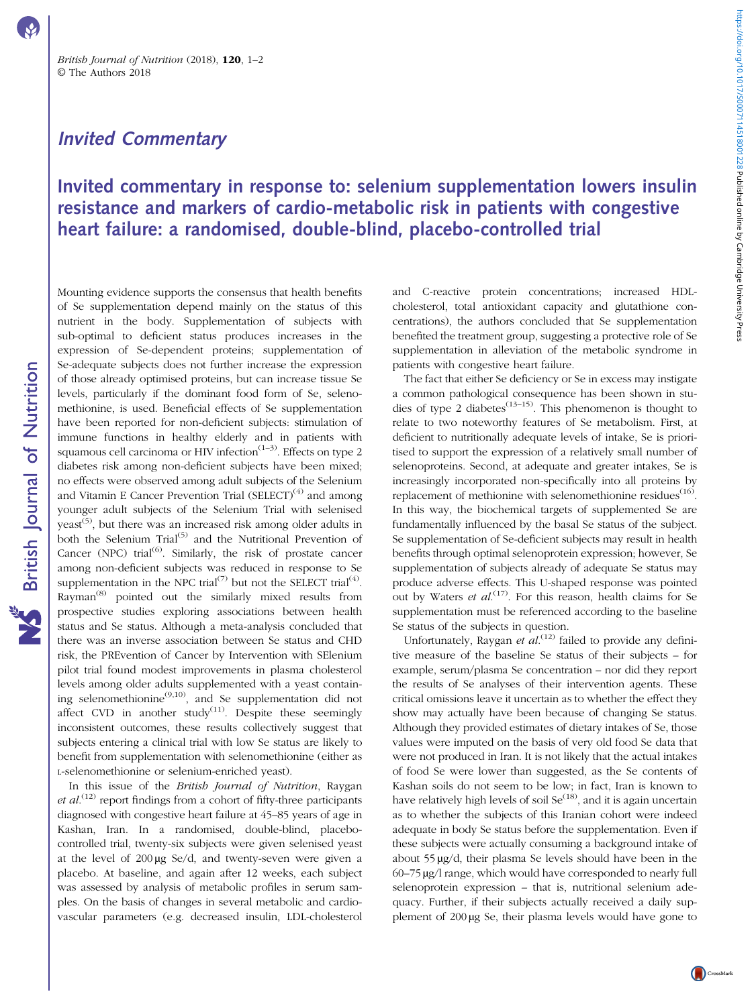## Invited Commentary

## Invited commentary in response to: selenium supplementation lowers insulin resistance and markers of cardio-metabolic risk in patients with congestive heart failure: a randomised, double-blind, placebo-controlled trial

Mounting evidence supports the consensus that health benefits of Se supplementation depend mainly on the status of this nutrient in the body. Supplementation of subjects with sub-optimal to deficient status produces increases in the expression of Se-dependent proteins; supplementation of Se-adequate subjects does not further increase the expression of those already optimised proteins, but can increase tissue Se levels, particularly if the dominant food form of Se, selenomethionine, is used. Beneficial effects of Se supplementation have been reported for non-deficient subjects: stimulation of immune functions in healthy elderly and in patients with squamous cell carcinoma or HIV infection<sup> $(1-3)$  $(1-3)$  $(1-3)$  $(1-3)$  $(1-3)$ </sup>. Effects on type 2 diabetes risk among non-deficient subjects have been mixed; no effects were observed among adult subjects of the Selenium and Vitamin E Cancer Prevention Trial  $(SELECT)^{(4)}$  $(SELECT)^{(4)}$  $(SELECT)^{(4)}$  and among younger adult subjects of the Selenium Trial with selenised yeast<sup>([5](#page-1-0))</sup>, but there was an increased risk among older adults in both the Selenium Trial<sup>[\(5\)](#page-1-0)</sup> and the Nutritional Prevention of Cancer (NPC) trial $^{(6)}$  $^{(6)}$  $^{(6)}$ . Similarly, the risk of prostate cancer among non-deficient subjects was reduced in response to Se supplementation in the NPC trial<sup>([7](#page-1-0))</sup> but not the SELECT trial<sup>[\(4\)](#page-1-0)</sup>. Rayman<sup>[\(8\)](#page-1-0)</sup> pointed out the similarly mixed results from prospective studies exploring associations between health status and Se status. Although a meta-analysis concluded that there was an inverse association between Se status and CHD risk, the PREvention of Cancer by Intervention with SElenium pilot trial found modest improvements in plasma cholesterol levels among older adults supplemented with a yeast contain-ing selenomethionine<sup>[\(9,10](#page-1-0))</sup>, and Se supplementation did not affect CVD in another study<sup>([11\)](#page-1-0)</sup>. Despite these seemingly inconsistent outcomes, these results collectively suggest that subjects entering a clinical trial with low Se status are likely to benefit from supplementation with selenomethionine (either as L-selenomethionine or selenium-enriched yeast).

In this issue of the British Journal of Nutrition, Raygan et  $al$ .<sup>([12](#page-1-0))</sup> report findings from a cohort of fifty-three participants diagnosed with congestive heart failure at 45–85 years of age in Kashan, Iran. In a randomised, double-blind, placebocontrolled trial, twenty-six subjects were given selenised yeast at the level of 200 µg Se/d, and twenty-seven were given a placebo. At baseline, and again after 12 weeks, each subject was assessed by analysis of metabolic profiles in serum samples. On the basis of changes in several metabolic and cardiovascular parameters (e.g. decreased insulin, LDL-cholesterol

and C-reactive protein concentrations; increased HDLcholesterol, total antioxidant capacity and glutathione concentrations), the authors concluded that Se supplementation benefited the treatment group, suggesting a protective role of Se supplementation in alleviation of the metabolic syndrome in patients with congestive heart failure.

The fact that either Se deficiency or Se in excess may instigate a common pathological consequence has been shown in stu-dies of type 2 diabetes<sup>([13](#page-1-0)–[15\)](#page-1-0)</sup>. This phenomenon is thought to relate to two noteworthy features of Se metabolism. First, at deficient to nutritionally adequate levels of intake, Se is prioritised to support the expression of a relatively small number of selenoproteins. Second, at adequate and greater intakes, Se is increasingly incorporated non-specifically into all proteins by replacement of methionine with selenomethionine residues $(16)$ . In this way, the biochemical targets of supplemented Se are fundamentally influenced by the basal Se status of the subject. Se supplementation of Se-deficient subjects may result in health benefits through optimal selenoprotein expression; however, Se supplementation of subjects already of adequate Se status may produce adverse effects. This U-shaped response was pointed out by Waters et al.<sup>[\(17\)](#page-1-0)</sup>. For this reason, health claims for Se supplementation must be referenced according to the baseline Se status of the subjects in question.

Unfortunately, Raygan et  $al^{(12)}$  $al^{(12)}$  $al^{(12)}$  failed to provide any definitive measure of the baseline Se status of their subjects – for example, serum/plasma Se concentration – nor did they report the results of Se analyses of their intervention agents. These critical omissions leave it uncertain as to whether the effect they show may actually have been because of changing Se status. Although they provided estimates of dietary intakes of Se, those values were imputed on the basis of very old food Se data that were not produced in Iran. It is not likely that the actual intakes of food Se were lower than suggested, as the Se contents of Kashan soils do not seem to be low; in fact, Iran is known to have relatively high levels of soil  $\text{Se}^{(18)}$  $\text{Se}^{(18)}$  $\text{Se}^{(18)}$ , and it is again uncertain as to whether the subjects of this Iranian cohort were indeed adequate in body Se status before the supplementation. Even if these subjects were actually consuming a background intake of about 55 µg/d, their plasma Se levels should have been in the 60–75 µg/l range, which would have corresponded to nearly full selenoprotein expression – that is, nutritional selenium adequacy. Further, if their subjects actually received a daily supplement of 200 µg Se, their plasma levels would have gone to